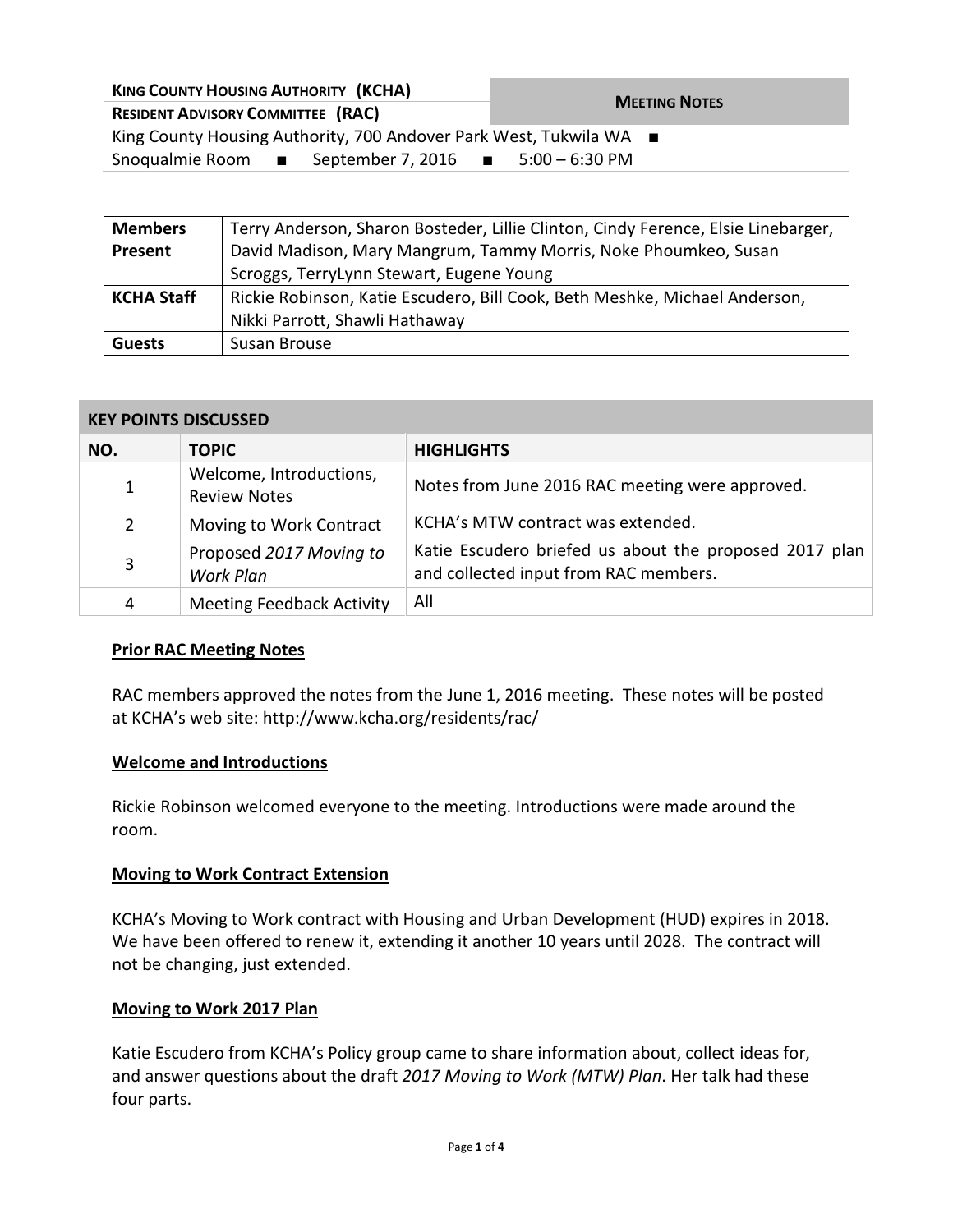| <b>KING COUNTY HOUSING AUTHORITY (KCHA)</b>                                    | <b>MEETING NOTES</b> |  |
|--------------------------------------------------------------------------------|----------------------|--|
| <b>RESIDENT ADVISORY COMMITTEE (RAC)</b>                                       |                      |  |
| King County Housing Authority, 700 Andover Park West, Tukwila WA ■             |                      |  |
| Snoqualmie Room $\blacksquare$ September 7, 2016 $\blacksquare$ 5:00 – 6:30 PM |                      |  |
|                                                                                |                      |  |

| <b>Members</b>    | Terry Anderson, Sharon Bosteder, Lillie Clinton, Cindy Ference, Elsie Linebarger, |  |
|-------------------|-----------------------------------------------------------------------------------|--|
| Present           | David Madison, Mary Mangrum, Tammy Morris, Noke Phoumkeo, Susan                   |  |
|                   | Scroggs, TerryLynn Stewart, Eugene Young                                          |  |
| <b>KCHA Staff</b> | Rickie Robinson, Katie Escudero, Bill Cook, Beth Meshke, Michael Anderson,        |  |
|                   | Nikki Parrott, Shawli Hathaway                                                    |  |
| <b>Guests</b>     | Susan Brouse                                                                      |  |

#### **KEY POINTS DISCUSSED**

| NO.          | <b>TOPIC</b>                                   | <b>HIGHLIGHTS</b>                                                                               |
|--------------|------------------------------------------------|-------------------------------------------------------------------------------------------------|
| $\mathbf{1}$ | Welcome, Introductions,<br><b>Review Notes</b> | Notes from June 2016 RAC meeting were approved.                                                 |
| 2            | Moving to Work Contract                        | KCHA's MTW contract was extended.                                                               |
| 3            | Proposed 2017 Moving to<br>Work Plan           | Katie Escudero briefed us about the proposed 2017 plan<br>and collected input from RAC members. |
| 4            | <b>Meeting Feedback Activity</b>               | All                                                                                             |

### **Prior RAC Meeting Notes**

RAC members approved the notes from the June 1, 2016 meeting. These notes will be posted at KCHA's web site: http://www.kcha.org/residents/rac/

### **Welcome and Introductions**

Rickie Robinson welcomed everyone to the meeting. Introductions were made around the room.

#### **Moving to Work Contract Extension**

KCHA's Moving to Work contract with Housing and Urban Development (HUD) expires in 2018. We have been offered to renew it, extending it another 10 years until 2028. The contract will not be changing, just extended.

#### **Moving to Work 2017 Plan**

Katie Escudero from KCHA's Policy group came to share information about, collect ideas for, and answer questions about the draft *2017 Moving to Work (MTW) Plan*. Her talk had these four parts.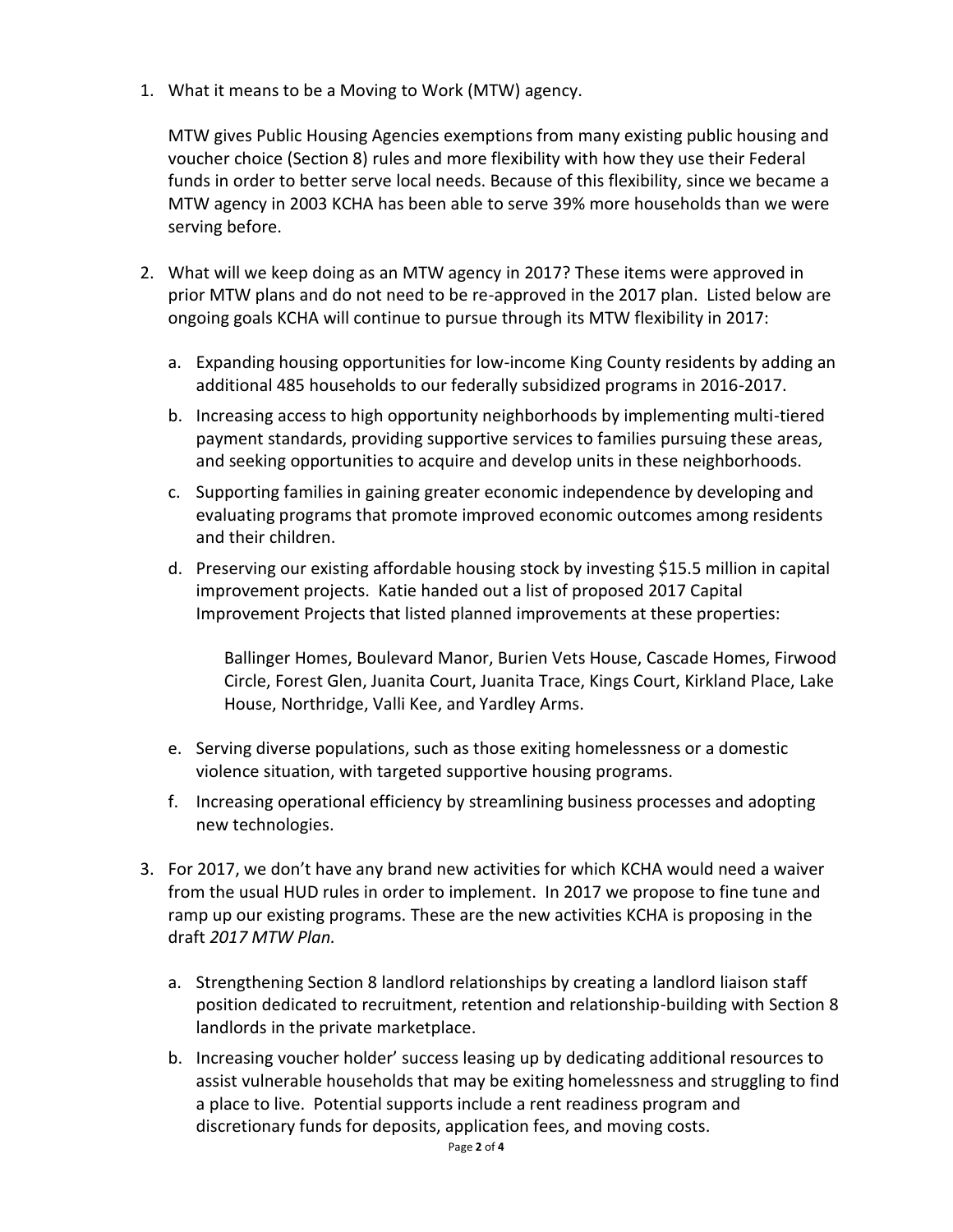1. What it means to be a Moving to Work (MTW) agency.

MTW gives Public Housing Agencies exemptions from many existing public housing and voucher choice (Section 8) rules and more flexibility with how they use their Federal funds in order to better serve local needs. Because of this flexibility, since we became a MTW agency in 2003 KCHA has been able to serve 39% more households than we were serving before.

- 2. What will we keep doing as an MTW agency in 2017? These items were approved in prior MTW plans and do not need to be re-approved in the 2017 plan. Listed below are ongoing goals KCHA will continue to pursue through its MTW flexibility in 2017:
	- a. Expanding housing opportunities for low-income King County residents by adding an additional 485 households to our federally subsidized programs in 2016-2017.
	- b. Increasing access to high opportunity neighborhoods by implementing multi-tiered payment standards, providing supportive services to families pursuing these areas, and seeking opportunities to acquire and develop units in these neighborhoods.
	- c. Supporting families in gaining greater economic independence by developing and evaluating programs that promote improved economic outcomes among residents and their children.
	- d. Preserving our existing affordable housing stock by investing \$15.5 million in capital improvement projects. Katie handed out a list of proposed 2017 Capital Improvement Projects that listed planned improvements at these properties:

Ballinger Homes, Boulevard Manor, Burien Vets House, Cascade Homes, Firwood Circle, Forest Glen, Juanita Court, Juanita Trace, Kings Court, Kirkland Place, Lake House, Northridge, Valli Kee, and Yardley Arms.

- e. Serving diverse populations, such as those exiting homelessness or a domestic violence situation, with targeted supportive housing programs.
- f. Increasing operational efficiency by streamlining business processes and adopting new technologies.
- 3. For 2017, we don't have any brand new activities for which KCHA would need a waiver from the usual HUD rules in order to implement. In 2017 we propose to fine tune and ramp up our existing programs. These are the new activities KCHA is proposing in the draft *2017 MTW Plan.*
	- a. Strengthening Section 8 landlord relationships by creating a landlord liaison staff position dedicated to recruitment, retention and relationship-building with Section 8 landlords in the private marketplace.
	- b. Increasing voucher holder' success leasing up by dedicating additional resources to assist vulnerable households that may be exiting homelessness and struggling to find a place to live. Potential supports include a rent readiness program and discretionary funds for deposits, application fees, and moving costs.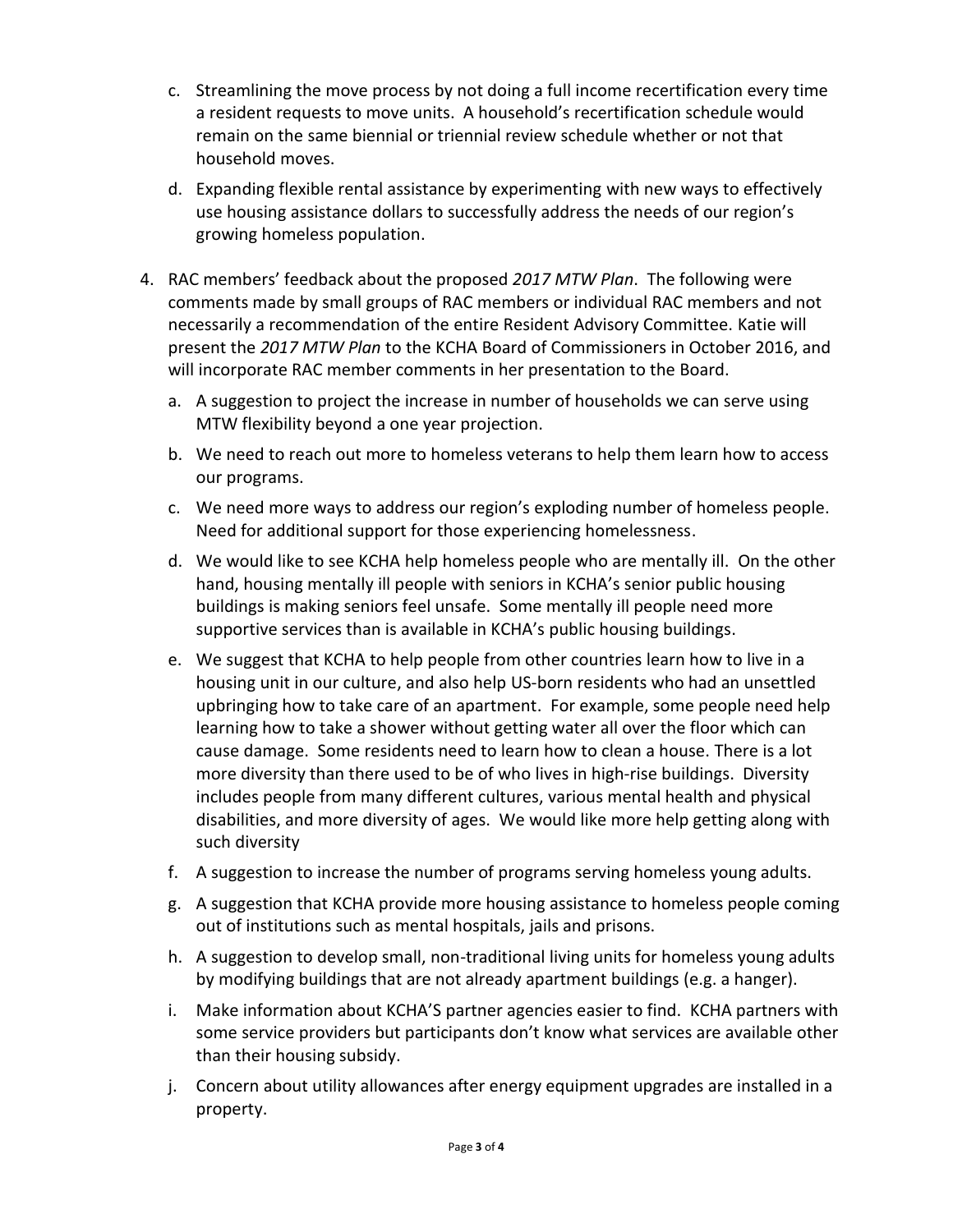- c. Streamlining the move process by not doing a full income recertification every time a resident requests to move units. A household's recertification schedule would remain on the same biennial or triennial review schedule whether or not that household moves.
- d. Expanding flexible rental assistance by experimenting with new ways to effectively use housing assistance dollars to successfully address the needs of our region's growing homeless population.
- 4. RAC members' feedback about the proposed *2017 MTW Plan*. The following were comments made by small groups of RAC members or individual RAC members and not necessarily a recommendation of the entire Resident Advisory Committee. Katie will present the *2017 MTW Plan* to the KCHA Board of Commissioners in October 2016, and will incorporate RAC member comments in her presentation to the Board.
	- a. A suggestion to project the increase in number of households we can serve using MTW flexibility beyond a one year projection.
	- b. We need to reach out more to homeless veterans to help them learn how to access our programs.
	- c. We need more ways to address our region's exploding number of homeless people. Need for additional support for those experiencing homelessness.
	- d. We would like to see KCHA help homeless people who are mentally ill. On the other hand, housing mentally ill people with seniors in KCHA's senior public housing buildings is making seniors feel unsafe. Some mentally ill people need more supportive services than is available in KCHA's public housing buildings.
	- e. We suggest that KCHA to help people from other countries learn how to live in a housing unit in our culture, and also help US-born residents who had an unsettled upbringing how to take care of an apartment. For example, some people need help learning how to take a shower without getting water all over the floor which can cause damage. Some residents need to learn how to clean a house. There is a lot more diversity than there used to be of who lives in high-rise buildings. Diversity includes people from many different cultures, various mental health and physical disabilities, and more diversity of ages. We would like more help getting along with such diversity
	- f. A suggestion to increase the number of programs serving homeless young adults.
	- g. A suggestion that KCHA provide more housing assistance to homeless people coming out of institutions such as mental hospitals, jails and prisons.
	- h. A suggestion to develop small, non-traditional living units for homeless young adults by modifying buildings that are not already apartment buildings (e.g. a hanger).
	- i. Make information about KCHA'S partner agencies easier to find. KCHA partners with some service providers but participants don't know what services are available other than their housing subsidy.
	- j. Concern about utility allowances after energy equipment upgrades are installed in a property.